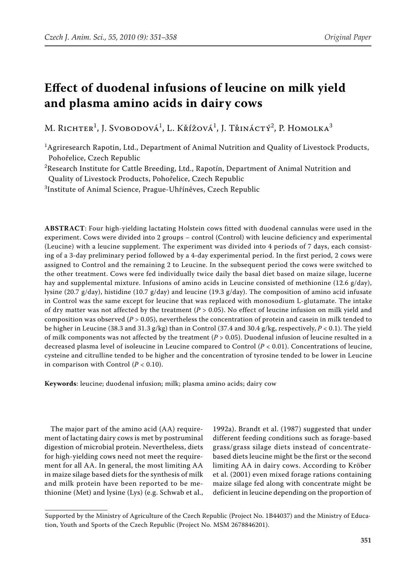# **Effect of duodenal infusions of leucine on milk yield and plasma amino acids in dairy cows**

M. Richter $^1$ , J. Svobodová $^1$ , L. Křížová $^1$ , J. Třináctý $^2$ , P. Homolka $^3$ 

<sup>1</sup>Agriresearch Rapotin, Ltd., Department of Animal Nutrition and Quality of Livestock Products, Pohořelice, Czech Republic

 $^{2}$ Research Institute for Cattle Breeding, Ltd., Rapotín, Department of Animal Nutrition and Quality of Livestock Products, Pohořelice, Czech Republic

3 Institute of Animal Science, Prague-Uhříněves, Czech Republic

**ABSTRACT**: Four high-yielding lactating Holstein cows fitted with duodenal cannulas were used in the experiment. Cows were divided into 2 groups – control (Control) with leucine deficiency and experimental (Leucine) with a leucine supplement. The experiment was divided into 4 periods of 7 days, each consisting of a 3-day preliminary period followed by a 4-day experimental period. In the first period, 2 cows were assigned to Control and the remaining 2 to Leucine. In the subsequent period the cows were switched to the other treatment. Cows were fed individually twice daily the basal diet based on maize silage, lucerne hay and supplemental mixture. Infusions of amino acids in Leucine consisted of methionine (12.6 g/day), lysine (20.7 g/day), histidine (10.7 g/day) and leucine (19.3 g/day). The composition of amino acid infusate in Control was the same except for leucine that was replaced with monosodium L-glutamate. The intake of dry matter was not affected by the treatment (*P* > 0.05). No effect of leucine infusion on milk yield and composition was observed (*P* > 0.05), nevertheless the concentration of protein and casein in milk tended to be higher in Leucine (38.3 and 31.3 g/kg) than in Control (37.4 and 30.4 g/kg, respectively, *P* < 0.1). The yield of milk components was not affected by the treatment (*P* > 0.05). Duodenal infusion of leucine resulted in a decreased plasma level of isoleucine in Leucine compared to Control (*P* < 0.01). Concentrations of leucine, cysteine and citrulline tended to be higher and the concentration of tyrosine tended to be lower in Leucine in comparison with Control  $(P < 0.10)$ .

**Keywords**: leucine; duodenal infusion; milk; plasma amino acids; dairy cow

The major part of the amino acid (AA) requirement of lactating dairy cows is met by postruminal digestion of microbial protein. Nevertheless, diets for high-yielding cows need not meet the requirement for all AA. In general, the most limiting AA in maize silage based diets for the synthesis of milk and milk protein have been reported to be methionine (Met) and lysine (Lys) (e.g. Schwab et al.,

1992a). Brandt et al. (1987) suggested that under different feeding conditions such as forage-based grass/grass silage diets instead of concentratebased diets leucine might be the first or the second limiting AA in dairy cows. According to Kröber et al. (2001) even mixed forage rations containing maize silage fed along with concentrate might be deficient in leucine depending on the proportion of

Supported by the Ministry of Agriculture of the Czech Republic (Project No. 1B44037) and the Ministry of Education, Youth and Sports of the Czech Republic (Project No. MSM 2678846201).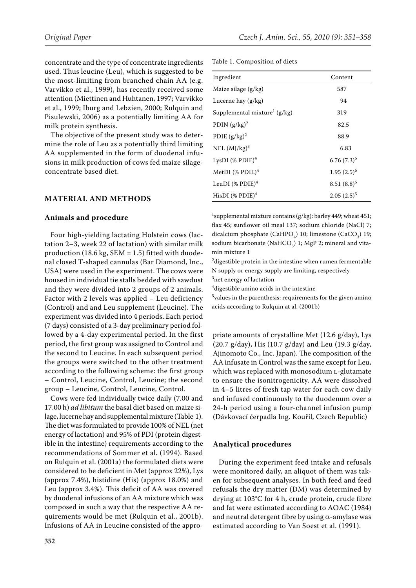concentrate and the type of concentrate ingredients used. Thus leucine (Leu), which is suggested to be the most-limiting from branched chain AA (e.g. Varvikko et al., 1999), has recently received some attention (Miettinen and Huhtanen, 1997; Varvikko et al., 1999; Iburg and Lebzien, 2000; Rulquin and Pisulewski, 2006) as a potentially limiting AA for milk protein synthesis.

The objective of the present study was to determine the role of Leu as a potentially third limiting AA supplemented in the form of duodenal infusions in milk production of cows fed maize silageconcentrate based diet.

## **MATERIAL AND METHODS**

## **Animals and procedure**

Four high-yielding lactating Holstein cows (lactation 2–3, week 22 of lactation) with similar milk production (18.6 kg, SEM = 1.5) fitted with duodenal closed T-shaped cannulas (Bar Diamond, Inc., USA) were used in the experiment. The cows were housed in individual tie stalls bedded with sawdust and they were divided into 2 groups of 2 animals. Factor with 2 levels was applied – Leu deficiency (Control) and and Leu supplement (Leucine). The experiment was divided into 4 periods. Each period (7 days) consisted of a 3-day preliminary period followed by a 4-day experimental period. In the first period, the first group was assigned to Control and the second to Leucine. In each subsequent period the groups were switched to the other treatment according to the following scheme: the first group – Control, Leucine, Control, Leucine; the second group – Leucine, Control, Leucine, Control.

Cows were fed individually twice daily (7.00 and 17.00 h) *ad libitum* the basal diet based on maize silage, lucerne hay and supplemental mixture (Table 1). The diet was formulated to provide 100% of NEL (net energy of lactation) and 95% of PDI (protein digestible in the intestine) requirements according to the recommendations of Sommer et al. (1994). Based on Rulquin et al. (2001a) the formulated diets were considered to be deficient in Met (approx 22%), Lys (approx 7.4%), histidine (His) (approx 18.0%) and Leu (approx 3.4%). This deficit of AA was covered by duodenal infusions of an AA mixture which was composed in such a way that the respective AA requirements would be met (Rulquin et al., 2001b). Infusions of AA in Leucine consisted of the approTable 1. Composition of diets

| Ingredient                               | Content       |
|------------------------------------------|---------------|
| Maize silage $(g/kg)$                    | 587           |
| Lucerne hay (g/kg)                       | 94            |
| Supplemental mixture <sup>1</sup> (g/kg) | 319           |
| PDIN $(g/kg)^2$                          | 82.5          |
| PDIE $(g/kg)^2$                          | 88.9          |
| NEL $(MJ/kg)^3$                          | 6.83          |
| LysDI $(\%$ PDIE) <sup>4</sup>           | $6.76(7.3)^5$ |
| MetDI (% PDIE) <sup>4</sup>              | $1.95(2.5)^5$ |
| LeuDI $(\%$ PDIE) <sup>4</sup>           | $8.51(8.8)^5$ |
| HisDI $(\%$ PDIE) <sup>4</sup>           | $2.05(2.5)^5$ |

<sup>1</sup>supplemental mixture contains (g/kg): barley 449; wheat 451; flax 45; sunflower oil meal 137; sodium chloride (NaCl) 7; dicalcium phosphate (CaHPO<sub>4</sub>) 10; limestone (CaCO<sub>3</sub>) 19; sodium bicarbonate (NaHCO<sub>3</sub>) 1; MgP 2; mineral and vitamin mixture 1

<sup>2</sup> digestible protein in the intestine when rumen fermentable N supply or energy supply are limiting, respectively

3 net energy of lactation

4 digestible amino acids in the intestine

5 values in the parenthesis: requirements for the given amino acids according to Rulquin at al. (2001b)

priate amounts of crystalline Met (12.6 g/day), Lys  $(20.7 \text{ g/day})$ , His  $(10.7 \text{ g/day})$  and Leu  $(19.3 \text{ g/day})$ Ajinomoto Co., Inc. Japan). The composition of the AA infusate in Control was the same except for Leu, which was replaced with monosodium L-glutamate to ensure the isonitrogenicity. AA were dissolved in 4–5 litres of fresh tap water for each cow daily and infused continuously to the duodenum over a 24-h period using a four-channel infusion pump (Dávkovací čerpadla Ing. Kouřil, Czech Republic)

#### **Analytical procedures**

During the experiment feed intake and refusals were monitored daily, an aliquot of them was taken for subsequent analyses. In both feed and feed refusals the dry matter (DM) was determined by drying at 103°C for 4 h, crude protein, crude fibre and fat were estimated according to AOAC (1984) and neutral detergent fibre by using  $\alpha$ -amylase was estimated according to Van Soest et al. (1991).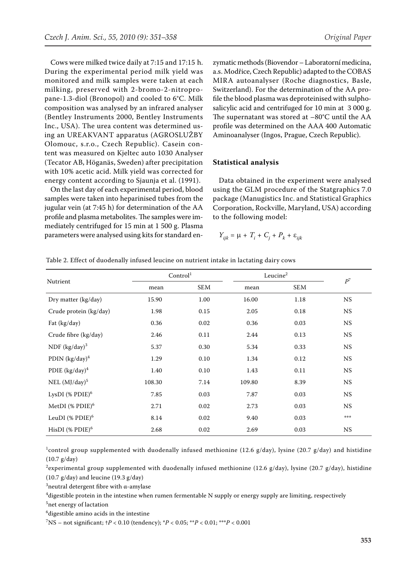Cows were milked twice daily at 7:15 and 17:15 h. During the experimental period milk yield was monitored and milk samples were taken at each milking, preserved with 2-bromo-2-nitropropane-1.3-diol (Bronopol) and cooled to 6°C. Milk composition was analysed by an infrared analyser (Bentley Instruments 2000, Bentley Instruments Inc., USA). The urea content was determined using an UREAKVANT apparatus (AGROSLUŽBY Olomouc, s.r.o., Czech Republic). Casein content was measured on Kjeltec auto 1030 Analyser (Tecator AB, Höganäs, Sweden) after precipitation with 10% acetic acid. Milk yield was corrected for energy content according to Sjaunja et al. (1991).

On the last day of each experimental period, blood samples were taken into heparinised tubes from the jugular vein (at 7:45 h) for determination of the AA profile and plasma metabolites. The samples were immediately centrifuged for 15 min at 1 500 g. Plasma parameters were analysed using kits for standard en-

zymatic methods (Biovendor – Laboratorní medicína, a.s. Modřice, Czech Republic) adapted to the COBAS MIRA autoanalyser (Roche diagnostics, Basle, Switzerland). For the determination of the AA profile the blood plasma was deproteinised with sulphosalicylic acid and centrifuged for 10 min at 3 000 g. The supernatant was stored at –80°C until the AA profile was determined on the AAA 400 Automatic Aminoanalyser (Ingos, Prague, Czech Republic).

## **Statistical analysis**

Data obtained in the experiment were analysed using the GLM procedure of the Statgraphics 7.0 package (Manugistics Inc. and Statistical Graphics Corporation, Rockville, Maryland, USA) according to the following model:

$$
Y_{ijk} = \mu + T_i + C_j + P_k + \varepsilon_{ijk}
$$

| Nutrient                    | Control <sup>1</sup> |            | Leucine <sup>2</sup> | $\mathbb{P}^7$ |           |
|-----------------------------|----------------------|------------|----------------------|----------------|-----------|
|                             | mean                 | <b>SEM</b> | mean                 | <b>SEM</b>     |           |
| Dry matter (kg/day)         | 15.90                | 1.00       | 16.00                | 1.18           | <b>NS</b> |
| Crude protein (kg/day)      | 1.98                 | 0.15       | 2.05                 | 0.18           | <b>NS</b> |
| Fat (kg/day)                | 0.36                 | 0.02       | 0.36                 | 0.03           | <b>NS</b> |
| Crude fibre (kg/day)        | 2.46                 | 0.11       | 2.44                 | 0.13           | <b>NS</b> |
| NDF $(kg/day)^3$            | 5.37                 | 0.30       | 5.34                 | 0.33           | <b>NS</b> |
| PDIN $(kg/day)^4$           | 1.29                 | 0.10       | 1.34                 | 0.12           | <b>NS</b> |
| PDIE $(kg/day)^4$           | 1.40                 | 0.10       | 1.43                 | 0.11           | <b>NS</b> |
| NEL $(MJ/day)^5$            | 108.30               | 7.14       | 109.80               | 8.39           | <b>NS</b> |
| LysDI (% PDIE) $^6$         | 7.85                 | 0.03       | 7.87                 | 0.03           | <b>NS</b> |
| MetDI (% PDIE) <sup>6</sup> | 2.71                 | 0.02       | 2.73                 | 0.03           | <b>NS</b> |
| LeuDI (% PDIE) $^6$         | 8.14                 | 0.02       | 9.40                 | 0.03           | ***       |
| HisDI (% PDIE) $^6$         | 2.68                 | 0.02       | 2.69                 | 0.03           | NS        |

Table 2. Effect of duodenally infused leucine on nutrient intake in lactating dairy cows

 $^1$ control group supplemented with duodenally infused methionine (12.6 g/day), lysine (20.7 g/day) and histidine (10.7 g/day)

 $^2$ experimental group supplemented with duodenally infused methionine (12.6 g/day), lysine (20.7 g/day), histidine  $(10.7 \text{ g/day})$  and leucine  $(19.3 \text{ g/day})$ 

 $^3$ neutral detergent fibre with α-amylase

 $^4$ digestible protein in the intestine when rumen fermentable N supply or energy supply are limiting, respectively

5 net energy of lactation

6 digestible amino acids in the intestine

7 NS – not significant; †*P* < 0.10 (tendency); \**P* < 0.05; \*\**P* < 0.01; \*\*\**P* < 0.001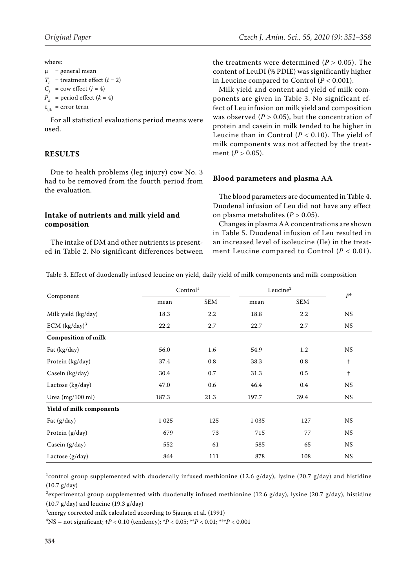where:

 $\mu$  = general mean  $T_i$  = treatment effect ( $i = 2$ )

 $C_i$  = cow effect  $(j = 4)$ 

 $P_k$  = period effect ( $k = 4$ )

 $\varepsilon_{ijk}$  = error term

For all statistical evaluations period means were used.

# **RESULTS**

Due to health problems (leg injury) cow No. 3 had to be removed from the fourth period from the evaluation.

## **Intake of nutrients and milk yield and composition**

The intake of DM and other nutrients is presented in Table 2. No significant differences between the treatments were determined  $(P > 0.05)$ . The content of LeuDI (% PDIE) was significantly higher in Leucine compared to Control  $(P < 0.001)$ .

Milk yield and content and yield of milk components are given in Table 3. No significant effect of Leu infusion on milk yield and composition was observed  $(P > 0.05)$ , but the concentration of protein and casein in milk tended to be higher in Leucine than in Control  $(P < 0.10)$ . The yield of milk components was not affected by the treatment (*P* > 0.05).

# **Blood parameters and plasma AA**

The blood parameters are documented in Table 4. Duodenal infusion of Leu did not have any effect on plasma metabolites  $(P > 0.05)$ .

Changes in plasma AA concentrations are shown in Table 5. Duodenal infusion of Leu resulted in an increased level of isoleucine (Ile) in the treatment Leucine compared to Control  $(P < 0.01)$ .

| Table 3. Effect of duodenally infused leucine on yield, daily yield of milk components and milk composition |  |  |  |  |
|-------------------------------------------------------------------------------------------------------------|--|--|--|--|
|-------------------------------------------------------------------------------------------------------------|--|--|--|--|

| Component                  | Control <sup>1</sup> |            |         | Leucine <sup>2</sup> |               |
|----------------------------|----------------------|------------|---------|----------------------|---------------|
|                            | mean                 | <b>SEM</b> | mean    | SEM                  | $P^4$         |
| Milk yield (kg/day)        | 18.3                 | 2.2        | 18.8    | 2.2                  | NS            |
| ECM $(kg/day)^3$           | 22.2                 | 2.7        | 22.7    | 2.7                  | <b>NS</b>     |
| <b>Composition of milk</b> |                      |            |         |                      |               |
| Fat (kg/day)               | 56.0                 | 1.6        | 54.9    | 1.2                  | <b>NS</b>     |
| Protein (kg/day)           | 37.4                 | 0.8        | 38.3    | 0.8                  | $^\mathrm{+}$ |
| Casein (kg/day)            | 30.4                 | 0.7        | 31.3    | $0.5\,$              | $^\dagger$    |
| Lactose (kg/day)           | 47.0                 | 0.6        | 46.4    | $0.4\,$              | <b>NS</b>     |
| Urea $(mg/100 \text{ ml})$ | 187.3                | 21.3       | 197.7   | 39.4                 | <b>NS</b>     |
| Yield of milk components   |                      |            |         |                      |               |
| Fat (g/day)                | 1 0 2 5              | 125        | 1 0 3 5 | 127                  | <b>NS</b>     |
| Protein (g/day)            | 679                  | 73         | 715     | 77                   | <b>NS</b>     |
| Casein (g/day)             | 552                  | 61         | 585     | 65                   | <b>NS</b>     |
| Lactose (g/day)            | 864                  | 111        | 878     | 108                  | <b>NS</b>     |

 $^1$ control group supplemented with duodenally infused methionine (12.6 g/day), lysine (20.7 g/day) and histidine (10.7 g/day)

 $^2$ experimental group supplemented with duodenally infused methionine (12.6 g/day), lysine (20.7 g/day), histidine (10.7  $g/day$ ) and leucine (19.3  $g/day$ )

 $^3$ energy corrected milk calculated according to Sjaunja et al. (1991)

4 NS – not significant; †*P* < 0.10 (tendency); \**P* < 0.05; \*\**P* < 0.01; \*\*\**P* < 0.001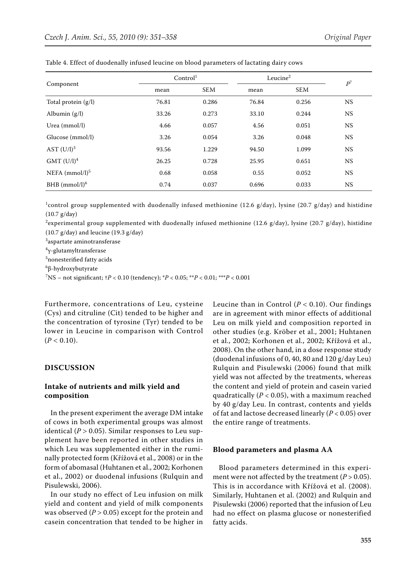| Component              | Control <sup>1</sup> |            | Leucine $2$ |            | $\mathbb{P}^7$ |
|------------------------|----------------------|------------|-------------|------------|----------------|
|                        | mean                 | <b>SEM</b> | mean        | <b>SEM</b> |                |
| Total protein $(g/l)$  | 76.81                | 0.286      | 76.84       | 0.256      | <b>NS</b>      |
| Albumin $(g/l)$        | 33.26                | 0.273      | 33.10       | 0.244      | NS.            |
| Urea (mmol/l)          | 4.66                 | 0.057      | 4.56        | 0.051      | <b>NS</b>      |
| Glucose (mmol/l)       | 3.26                 | 0.054      | 3.26        | 0.048      | <b>NS</b>      |
| AST $(U/I)^3$          | 93.56                | 1.229      | 94.50       | 1.099      | <b>NS</b>      |
| GMT (U/I) <sup>4</sup> | 26.25                | 0.728      | 25.95       | 0.651      | <b>NS</b>      |
| NEFA $(mmol/l)^5$      | 0.68                 | 0.058      | 0.55        | 0.052      | <b>NS</b>      |
| BHB $(mmol/l)^6$       | 0.74                 | 0.037      | 0.696       | 0.033      | NS.            |

Table 4. Effect of duodenally infused leucine on blood parameters of lactating dairy cows

 $^1$ control group supplemented with duodenally infused methionine (12.6 g/day), lysine (20.7 g/day) and histidine (10.7 g/day)

 $^2$ experimental group supplemented with duodenally infused methionine (12.6 g/day), lysine (20.7 g/day), histidine (10.7 g/day) and leucine (19.3 g/day)

 $^{\rm 3}$ aspartate aminotransferase

4 γ-glutamyltransferase

5 nonesterified fatty acids

6 β-hydroxybutyrate

7 NS – not significant; †*P* < 0.10 (tendency); \**P* < 0.05; \*\**P* < 0.01; \*\*\**P* < 0.001

Furthermore, concentrations of Leu, cysteine (Cys) and citruline (Cit) tended to be higher and the concentration of tyrosine (Tyr) tended to be lower in Leucine in comparison with Control  $(P < 0.10)$ .

#### **DISCUSSION**

## **Intake of nutrients and milk yield and composition**

In the present experiment the average DM intake of cows in both experimental groups was almost identical ( $P > 0.05$ ). Similar responses to Leu supplement have been reported in other studies in which Leu was supplemented either in the ruminally protected form (Křížová et al., 2008) or in the form of abomasal (Huhtanen et al., 2002; Korhonen et al., 2002) or duodenal infusions (Rulquin and Pisulewski, 2006).

In our study no effect of Leu infusion on milk yield and content and yield of milk components was observed  $(P > 0.05)$  except for the protein and casein concentration that tended to be higher in

Leucine than in Control  $(P < 0.10)$ . Our findings are in agreement with minor effects of additional Leu on milk yield and composition reported in other studies (e.g. Kröber et al., 2001; Huhtanen et al., 2002; Korhonen et al., 2002; Křížová et al., 2008). On the other hand, in a dose response study (duodenal infusions of 0, 40, 80 and 120 g/day Leu) Rulquin and Pisulewski (2006) found that milk yield was not affected by the treatments, whereas the content and yield of protein and casein varied quadratically  $(P < 0.05)$ , with a maximum reached by 40 g/day Leu. In contrast, contents and yields of fat and lactose decreased linearly (*P* < 0.05) over the entire range of treatments.

## **Blood parameters and plasma AA**

Blood parameters determined in this experiment were not affected by the treatment  $(P > 0.05)$ . This is in accordance with Křížová et al. (2008). Similarly, Huhtanen et al. (2002) and Rulquin and Pisulewski (2006) reported that the infusion of Leu had no effect on plasma glucose or nonesterified fatty acids.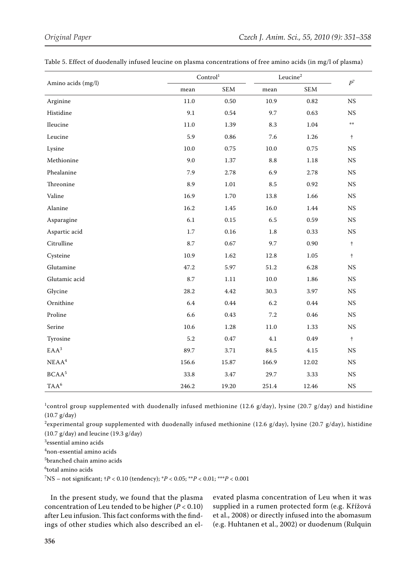|                    |          | Control <sup>1</sup> | $\rm Leucine^2$ | $\mathbb{P}^7$ |               |
|--------------------|----------|----------------------|-----------------|----------------|---------------|
| Amino acids (mg/l) | mean     | SEM                  | mean            | <b>SEM</b>     |               |
| Arginine           | $11.0\,$ | 0.50                 | 10.9            | 0.82           | $_{\rm NS}$   |
| Histidine          | 9.1      | $0.54\,$             | 9.7             | 0.63           | $_{\rm NS}$   |
| Ileucine           | 11.0     | 1.39                 | 8.3             | 1.04           | $\pm\pm$      |
| Leucine            | 5.9      | 0.86                 | 7.6             | 1.26           | $\ddagger$    |
| Lysine             | 10.0     | 0.75                 | 10.0            | 0.75           | $_{\rm NS}$   |
| Methionine         | 9.0      | $1.37\,$             | $\!\!\!\!\!8.8$ | 1.18           | $_{\rm NS}$   |
| Phealanine         | 7.9      | 2.78                 | 6.9             | 2.78           | $_{\rm NS}$   |
| Threonine          | 8.9      | 1.01                 | 8.5             | 0.92           | $_{\rm NS}$   |
| Valine             | 16.9     | 1.70                 | 13.8            | 1.66           | $_{\rm NS}$   |
| Alanine            | 16.2     | 1.45                 | 16.0            | 1.44           | $_{\rm NS}$   |
| Asparagine         | 6.1      | 0.15                 | 6.5             | 0.59           | $_{\rm NS}$   |
| Aspartic acid      | 1.7      | 0.16                 | $1.8\,$         | 0.33           | $_{\rm NS}$   |
| Citrulline         | 8.7      | 0.67                 | 9.7             | 0.90           | $^\mathrm{+}$ |
| Cysteine           | 10.9     | 1.62                 | 12.8            | 1.05           | $^\mathrm{+}$ |
| Glutamine          | 47.2     | 5.97                 | $51.2\,$        | 6.28           | $_{\rm NS}$   |
| Glutamic acid      | 8.7      | $1.11\,$             | 10.0            | 1.86           | $_{\rm NS}$   |
| Glycine            | 28.2     | 4.42                 | 30.3            | 3.97           | $_{\rm NS}$   |
| Ornithine          | 6.4      | 0.44                 | 6.2             | 0.44           | $_{\rm NS}$   |
| Proline            | 6.6      | 0.43                 | $7.2\,$         | 0.46           | $_{\rm NS}$   |
| Serine             | 10.6     | 1.28                 | $11.0\,$        | 1.33           | $_{\rm NS}$   |
| Tyrosine           | 5.2      | 0.47                 | 4.1             | 0.49           | $^\mathrm{+}$ |
| $EAA^3$            | 89.7     | 3.71                 | 84.5            | 4.15           | $_{\rm NS}$   |
| $\mathrm{NEAA}^4$  | 156.6    | 15.87                | 166.9           | 12.02          | $_{\rm NS}$   |
| BCAA <sup>5</sup>  | 33.8     | 3.47                 | 29.7            | 3.33           | $_{\rm NS}$   |
| $TAA^6$            | 246.2    | 19.20                | 251.4           | 12.46          | $_{\rm NS}$   |

 $^1$ control group supplemented with duodenally infused methionine (12.6 g/day), lysine (20.7 g/day) and histidine (10.7 g/day)

 $^2$ experimental group supplemented with duodenally infused methionine (12.6 g/day), lysine (20.7 g/day), histidine  $(10.7 \text{ g/day})$  and leucine  $(19.3 \text{ g/day})$ 

3 essential amino acids

4 non-essential amino acids

5 branched chain amino acids

6 total amino acids

7 NS – not significant; †*P* < 0.10 (tendency); \**P* < 0.05; \*\**P* < 0.01; \*\*\**P* < 0.001

In the present study, we found that the plasma concentration of Leu tended to be higher (*P* < 0.10) after Leu infusion. This fact conforms with the findings of other studies which also described an el-

evated plasma concentration of Leu when it was supplied in a rumen protected form (e.g. Křížová et al., 2008) or directly infused into the abomasum (e.g. Huhtanen et al., 2002) or duodenum (Rulquin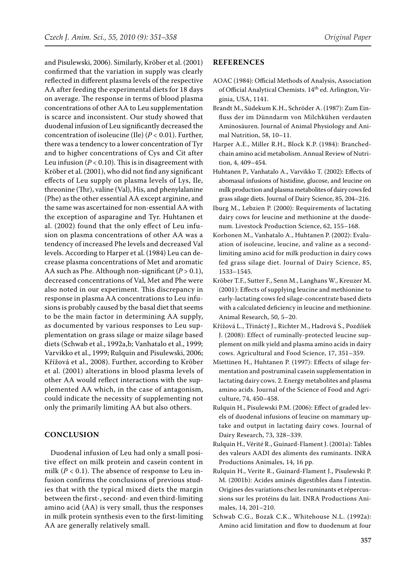and Pisulewski, 2006). Similarly, Kröber et al. (2001) confirmed that the variation in supply was clearly reflected in different plasma levels of the respective AA after feeding the experimental diets for 18 days on average. The response in terms of blood plasma concentrations of other AA to Leu supplementation is scarce and inconsistent. Our study showed that duodenal infusion of Leu significantly decreased the concentration of isoleucine (Ile) (*P* < 0.01). Further, there was a tendency to a lower concentration of Tyr and to higher concentrations of Cys and Cit after Leu infusion  $(P < 0.10)$ . This is in disagreement with Kröber et al. (2001), who did not find any significant effects of Leu supply on plasma levels of Lys, Ile, threonine (Thr), valine (Val), His, and phenylalanine (Phe) as the other essential AA except arginine, and the same was ascertained for non-essential AA with the exception of asparagine and Tyr. Huhtanen et al. (2002) found that the only effect of Leu infusion on plasma concentrations of other AA was a tendency of increased Phe levels and decreased Val levels. According to Harper et al. (1984) Leu can decrease plasma concentrations of Met and aromatic AA such as Phe. Although non-significant  $(P > 0.1)$ , decreased concentrations of Val, Met and Phe were also noted in our experiment. This discrepancy in response in plasma AA concentrations to Leu infusions is probably caused by the basal diet that seems to be the main factor in determining AA supply, as documented by various responses to Leu supplementation on grass silage or maize silage based diets (Schwab et al., 1992a,b; Vanhatalo et al., 1999; Varvikko et al., 1999; Rulquin and Pisulewski, 2006; Křížová et al., 2008). Further, according to Kröber et al. (2001) alterations in blood plasma levels of other AA would reflect interactions with the supplemented AA which, in the case of antagonism, could indicate the necessity of supplementing not only the primarily limiting AA but also others.

## **CONCLUSION**

Duodenal infusion of Leu had only a small positive effect on milk protein and casein content in milk  $(P < 0.1)$ . The absence of response to Leu infusion confirms the conclusions of previous studies that with the typical mixed diets the margin between the first-, second- and even third-limiting amino acid (AA) is very small, thus the responses in milk protein synthesis even to the first-limiting AA are generally relatively small.

## **REFERENCES**

- AOAC (1984): Official Methods of Analysis, Association of Official Analytical Chemists. 14<sup>th</sup> ed. Arlington, Virginia, USA, 1141.
- Brandt M., Südekum K.H., Schröder A. (1987): Zum Einfluss der im Dünndarm von Milchkühen verdauten Aminosäuren. Journal of Animal Physiology and Animal Nutrition, 58, 10–11.
- Harper A.E., Miller R.H., Block K.P. (1984): Branchedchain amino acid metabolism. Annual Review of Nutrition, 4, 409–454.
- Huhtanen P., Vanhatalo A., Varvikko T. (2002): Effects of abomasal infusions of histidine, glucose, and leucine on milk production and plasma metabolites of dairy cows fed grass silage diets. Journal of Dairy Science, 85, 204–216.
- Iburg M., Lebzien P. (2000): Requirements of lactating dairy cows for leucine and methionine at the duodenum. Livestock Production Science, 62, 155–168.
- Korhonen M., Vanhatalo A., Huhtanen P. (2002): Evaluation of isoleucine, leucine, and valine as a secondlimiting amino acid for milk production in dairy cows fed grass silage diet. Journal of Dairy Science, 85, 1533–1545.
- Kröber T.F., Sutter F., Senn M., Langhans W., Kreuzer M. (2001): Effects of supplying leucine and methionine to early-lactating cows fed silage-concentrate based diets with a calculated deficiency in leucine and methionine. Animal Research, 50, 5–20.
- Křížová L., Třináctý J., Richter M., Hadrová S., Pozdíšek J. (2008): Effect of ruminally-protected leucine supplement on milk yield and plasma amino acids in dairy cows. Agricultural and Food Science, 17, 351–359.
- Miettinen H., Huhtanen P. (1997): Effects of silage fermentation and postruminal casein supplementation in lactating dairy cows. 2. Energy metabolites and plasma amino acids. Journal of the Science of Food and Agriculture, 74, 450–458.
- Rulquin H., Pisulewski P.M. (2006): Effect of graded levels of duodenal infusions of leucine on mammary uptake and output in lactating dairy cows. Journal of Dairy Research, 73, 328–339.
- Rulquin H., Vérité R., Guinard-Flament J. (2001a): Tables des valeurs AADI des aliments des ruminants. INRA Productions Animales, 14, 16 pp.
- Rulquin H., Verite R., Guinard-Flament J., Pisulewski P. M. (2001b): Acides aminés digestibles dans ľ intestin. Origines des variations chez les ruminants et répercussions sur les protéins du lait. INRA Productions Animales, 14, 201–210.
- Schwab C.G., Bozak C.K., Whitehouse N.L. (1992a): Amino acid limitation and flow to duodenum at four